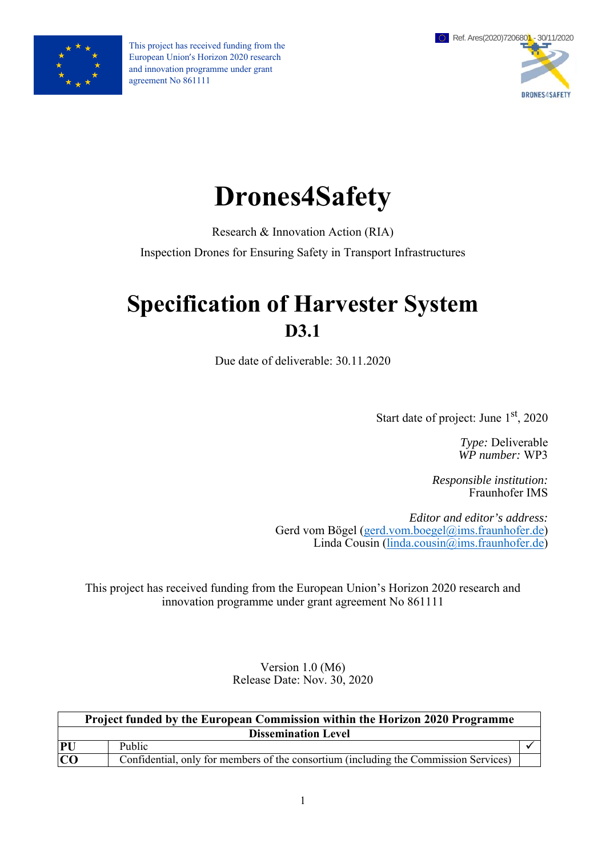

This project has received funding from the European Union's Horizon 2020 research and innovation programme under grant agreement No 861111



# **Drones4Safety**

Research & Innovation Action (RIA)

Inspection Drones for Ensuring Safety in Transport Infrastructures

## **Specification of Harvester System D3.1**

Due date of deliverable: 30.11.2020

Start date of project: June  $1<sup>st</sup>$ , 2020

*Type:* Deliverable *WP number:* WP3

*Responsible institution:*  Fraunhofer IMS

*Editor and editor's address:* Gerd vom Bögel (gerd.vom.boegel@ims.fraunhofer.de) Linda Cousin (linda.cousin@ims.fraunhofer.de)

This project has received funding from the European Union's Horizon 2020 research and innovation programme under grant agreement No 861111

> Version 1.0 (M6) Release Date: Nov. 30, 2020

| <b>Project funded by the European Commission within the Horizon 2020 Programme</b> |                                                                                      |  |  |  |  |  |
|------------------------------------------------------------------------------------|--------------------------------------------------------------------------------------|--|--|--|--|--|
| <b>Dissemination Level</b>                                                         |                                                                                      |  |  |  |  |  |
| <b>PU</b>                                                                          | Public                                                                               |  |  |  |  |  |
| <b>CO</b>                                                                          | Confidential, only for members of the consortium (including the Commission Services) |  |  |  |  |  |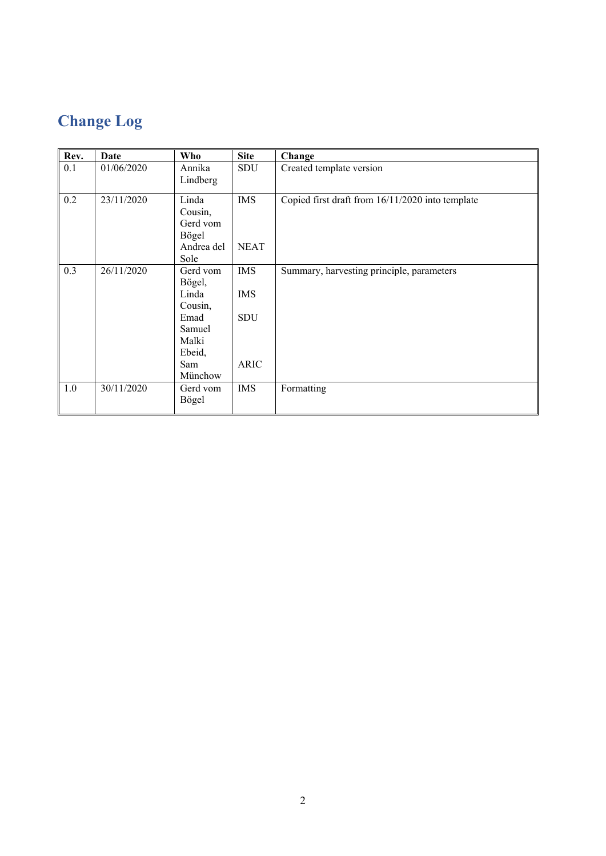## **Change Log**

| Rev. | <b>Date</b> | Who        | <b>Site</b> | Change                                           |
|------|-------------|------------|-------------|--------------------------------------------------|
| 0.1  | 01/06/2020  | Annika     | SDU         | Created template version                         |
|      |             | Lindberg   |             |                                                  |
| 0.2  | 23/11/2020  | Linda      | <b>IMS</b>  | Copied first draft from 16/11/2020 into template |
|      |             | Cousin,    |             |                                                  |
|      |             | Gerd vom   |             |                                                  |
|      |             | Bögel      |             |                                                  |
|      |             | Andrea del | <b>NEAT</b> |                                                  |
|      |             | Sole       |             |                                                  |
| 0.3  | 26/11/2020  | Gerd vom   | <b>IMS</b>  | Summary, harvesting principle, parameters        |
|      |             | Bögel,     |             |                                                  |
|      |             | Linda      | <b>IMS</b>  |                                                  |
|      |             | Cousin,    |             |                                                  |
|      |             | Emad       | SDU         |                                                  |
|      |             | Samuel     |             |                                                  |
|      |             | Malki      |             |                                                  |
|      |             | Ebeid,     |             |                                                  |
|      |             | Sam        | <b>ARIC</b> |                                                  |
|      |             | Münchow    |             |                                                  |
| 1.0  | 30/11/2020  | Gerd vom   | <b>IMS</b>  | Formatting                                       |
|      |             | Bögel      |             |                                                  |
|      |             |            |             |                                                  |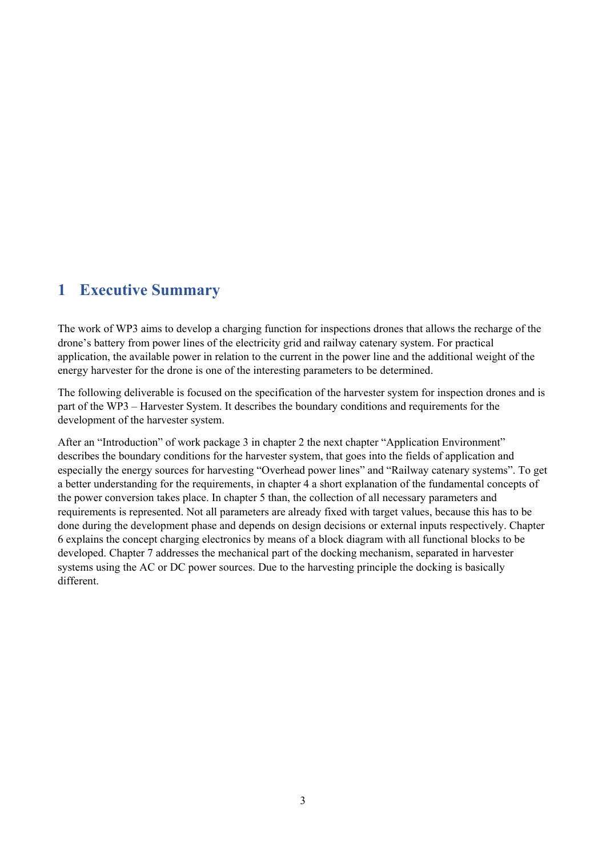### **1 Executive Summary**

The work of WP3 aims to develop a charging function for inspections drones that allows the recharge of the drone's battery from power lines of the electricity grid and railway catenary system. For practical application, the available power in relation to the current in the power line and the additional weight of the energy harvester for the drone is one of the interesting parameters to be determined.

The following deliverable is focused on the specification of the harvester system for inspection drones and is part of the WP3 – Harvester System. It describes the boundary conditions and requirements for the development of the harvester system.

After an "Introduction" of work package 3 in chapter 2 the next chapter "Application Environment" describes the boundary conditions for the harvester system, that goes into the fields of application and especially the energy sources for harvesting "Overhead power lines" and "Railway catenary systems". To get a better understanding for the requirements, in chapter 4 a short explanation of the fundamental concepts of the power conversion takes place. In chapter 5 than, the collection of all necessary parameters and requirements is represented. Not all parameters are already fixed with target values, because this has to be done during the development phase and depends on design decisions or external inputs respectively. Chapter 6 explains the concept charging electronics by means of a block diagram with all functional blocks to be developed. Chapter 7 addresses the mechanical part of the docking mechanism, separated in harvester systems using the AC or DC power sources. Due to the harvesting principle the docking is basically different.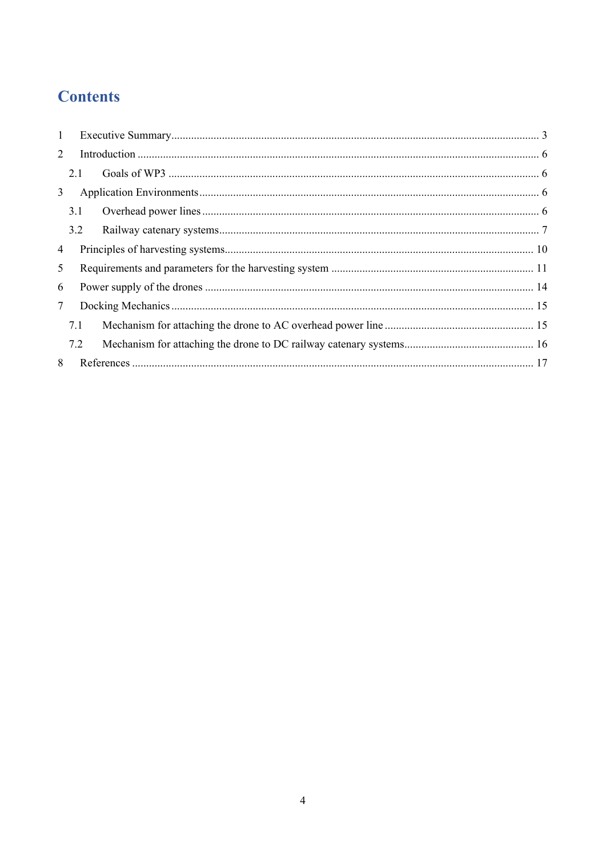## **Contents**

| $\mathbf{1}$ |     |  |
|--------------|-----|--|
| 2            |     |  |
|              | 2.1 |  |
| 3            |     |  |
|              | 3.1 |  |
|              | 3.2 |  |
| 4            |     |  |
| 5            |     |  |
| 6            |     |  |
| $\tau$       |     |  |
|              | 7.1 |  |
|              | 7.2 |  |
| 8            |     |  |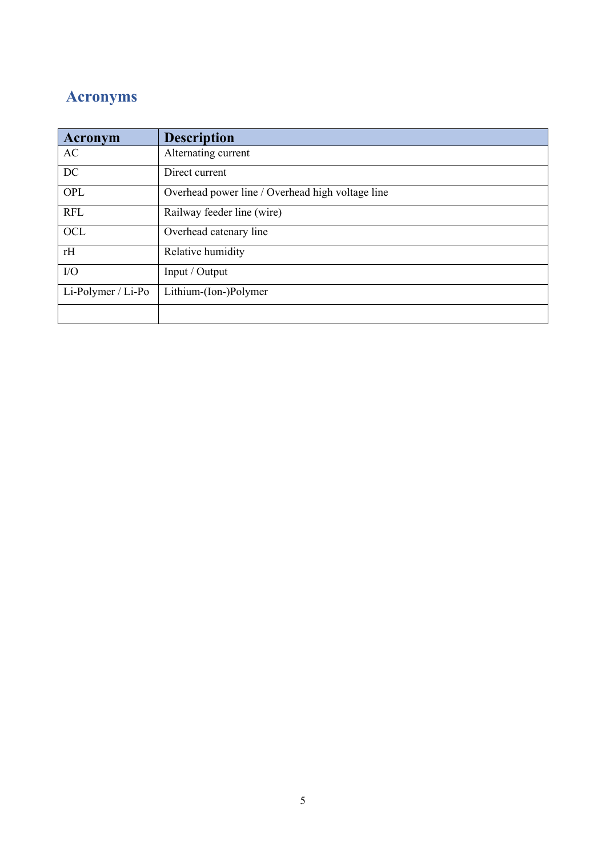## **Acronyms**

| Acronym            | <b>Description</b>                               |
|--------------------|--------------------------------------------------|
| AC                 | Alternating current                              |
| DC                 | Direct current                                   |
| OPL                | Overhead power line / Overhead high voltage line |
| <b>RFL</b>         | Railway feeder line (wire)                       |
| <b>OCL</b>         | Overhead catenary line                           |
| rH                 | Relative humidity                                |
| I/O                | Input / Output                                   |
| Li-Polymer / Li-Po | Lithium-(Ion-)Polymer                            |
|                    |                                                  |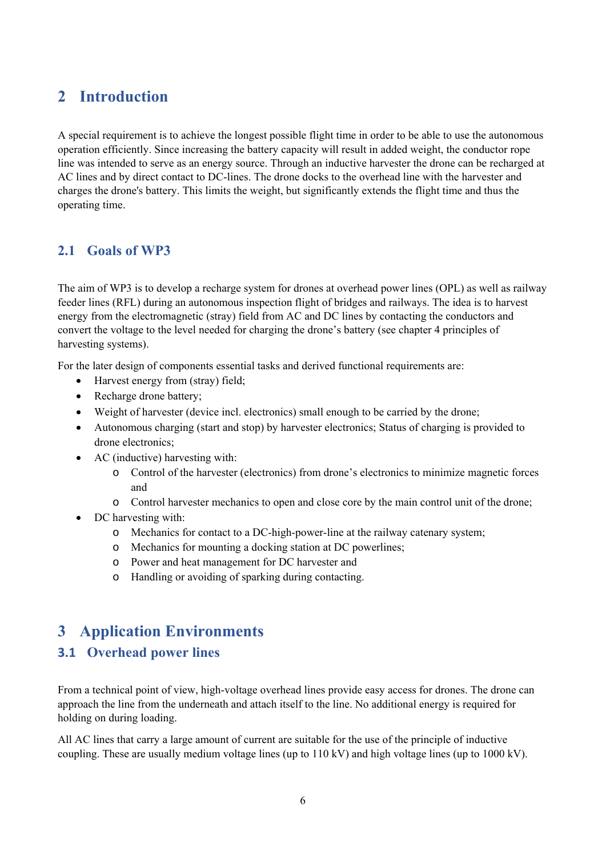## **2 Introduction**

A special requirement is to achieve the longest possible flight time in order to be able to use the autonomous operation efficiently. Since increasing the battery capacity will result in added weight, the conductor rope line was intended to serve as an energy source. Through an inductive harvester the drone can be recharged at AC lines and by direct contact to DC-lines. The drone docks to the overhead line with the harvester and charges the drone's battery. This limits the weight, but significantly extends the flight time and thus the operating time.

#### **2.1 Goals of WP3**

The aim of WP3 is to develop a recharge system for drones at overhead power lines (OPL) as well as railway feeder lines (RFL) during an autonomous inspection flight of bridges and railways. The idea is to harvest energy from the electromagnetic (stray) field from AC and DC lines by contacting the conductors and convert the voltage to the level needed for charging the drone's battery (see chapter 4 principles of harvesting systems).

For the later design of components essential tasks and derived functional requirements are:

- Harvest energy from (stray) field;
- Recharge drone battery;
- Weight of harvester (device incl. electronics) small enough to be carried by the drone;
- Autonomous charging (start and stop) by harvester electronics; Status of charging is provided to drone electronics;
- AC (inductive) harvesting with:
	- o Control of the harvester (electronics) from drone's electronics to minimize magnetic forces and
	- o Control harvester mechanics to open and close core by the main control unit of the drone;
- DC harvesting with:
	- o Mechanics for contact to a DC-high-power-line at the railway catenary system;
	- o Mechanics for mounting a docking station at DC powerlines;
	- o Power and heat management for DC harvester and
	- o Handling or avoiding of sparking during contacting.

### **3 Application Environments**

#### **3.1 Overhead power lines**

From a technical point of view, high-voltage overhead lines provide easy access for drones. The drone can approach the line from the underneath and attach itself to the line. No additional energy is required for holding on during loading.

All AC lines that carry a large amount of current are suitable for the use of the principle of inductive coupling. These are usually medium voltage lines (up to 110 kV) and high voltage lines (up to 1000 kV).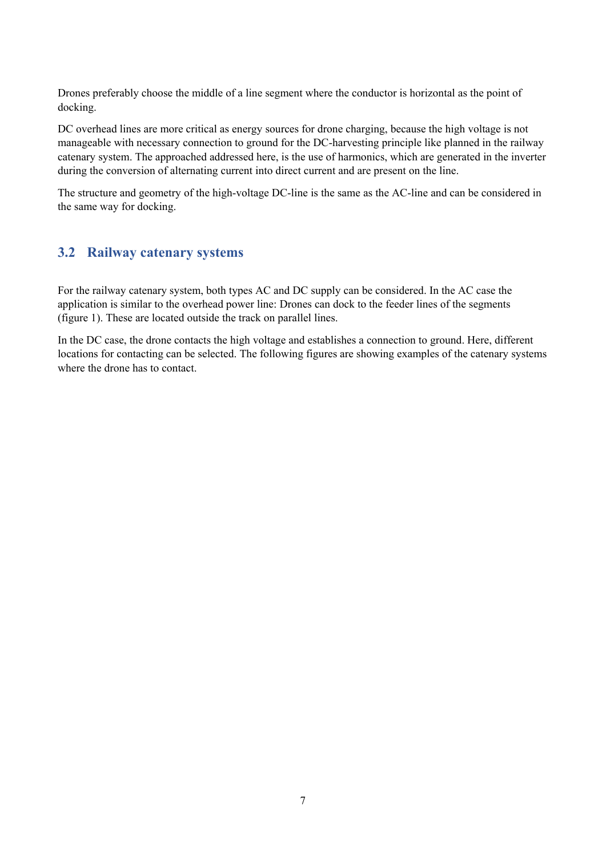Drones preferably choose the middle of a line segment where the conductor is horizontal as the point of docking.

DC overhead lines are more critical as energy sources for drone charging, because the high voltage is not manageable with necessary connection to ground for the DC-harvesting principle like planned in the railway catenary system. The approached addressed here, is the use of harmonics, which are generated in the inverter during the conversion of alternating current into direct current and are present on the line.

The structure and geometry of the high-voltage DC-line is the same as the AC-line and can be considered in the same way for docking.

#### **3.2 Railway catenary systems**

For the railway catenary system, both types AC and DC supply can be considered. In the AC case the application is similar to the overhead power line: Drones can dock to the feeder lines of the segments (figure 1). These are located outside the track on parallel lines.

In the DC case, the drone contacts the high voltage and establishes a connection to ground. Here, different locations for contacting can be selected. The following figures are showing examples of the catenary systems where the drone has to contact.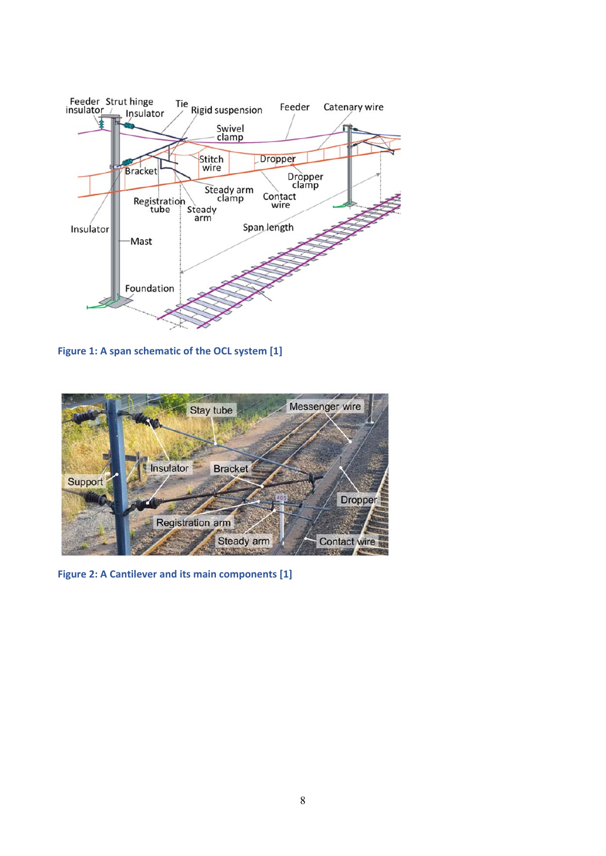

**Figure 1: A span schematic of the OCL system [1]** 



**Figure 2: A Cantilever and its main components [1]**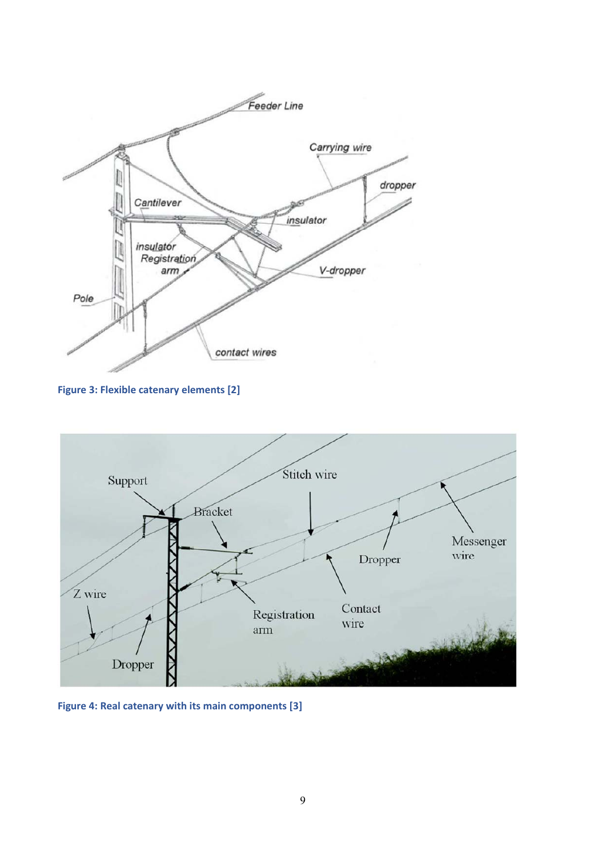

**Figure 3: Flexible catenary elements [2]** 



**Figure 4: Real catenary with its main components [3]**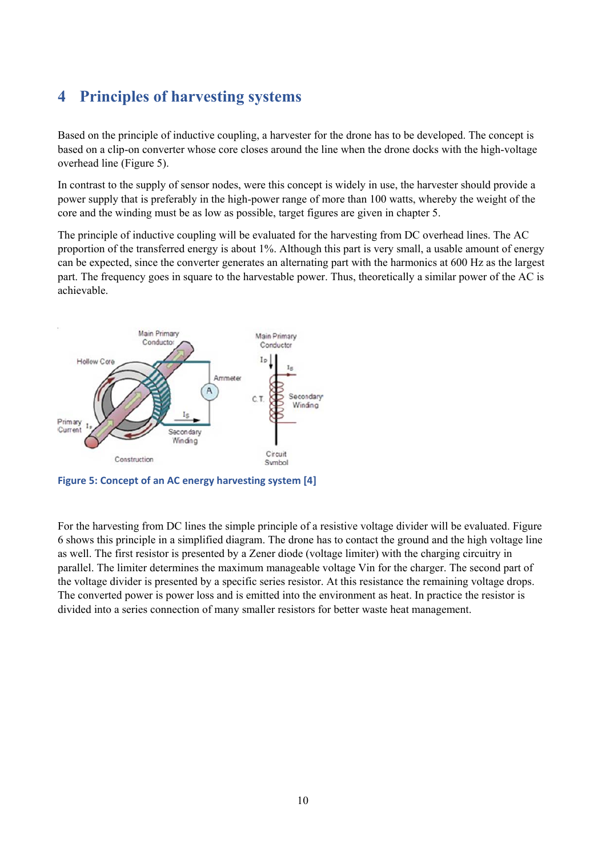## **4 Principles of harvesting systems**

Based on the principle of inductive coupling, a harvester for the drone has to be developed. The concept is based on a clip-on converter whose core closes around the line when the drone docks with the high-voltage overhead line (Figure 5).

In contrast to the supply of sensor nodes, were this concept is widely in use, the harvester should provide a power supply that is preferably in the high-power range of more than 100 watts, whereby the weight of the core and the winding must be as low as possible, target figures are given in chapter 5.

The principle of inductive coupling will be evaluated for the harvesting from DC overhead lines. The AC proportion of the transferred energy is about 1%. Although this part is very small, a usable amount of energy can be expected, since the converter generates an alternating part with the harmonics at 600 Hz as the largest part. The frequency goes in square to the harvestable power. Thus, theoretically a similar power of the AC is achievable.



**Figure 5: Concept of an AC energy harvesting system [4]** 

For the harvesting from DC lines the simple principle of a resistive voltage divider will be evaluated. Figure 6 shows this principle in a simplified diagram. The drone has to contact the ground and the high voltage line as well. The first resistor is presented by a Zener diode (voltage limiter) with the charging circuitry in parallel. The limiter determines the maximum manageable voltage Vin for the charger. The second part of the voltage divider is presented by a specific series resistor. At this resistance the remaining voltage drops. The converted power is power loss and is emitted into the environment as heat. In practice the resistor is divided into a series connection of many smaller resistors for better waste heat management.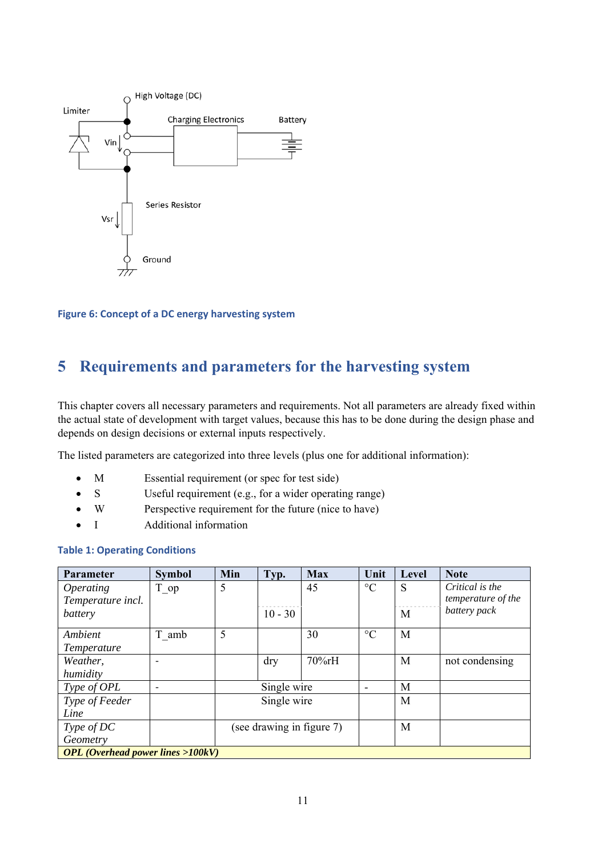

**Figure 6: Concept of a DC energy harvesting system** 

### **5 Requirements and parameters for the harvesting system**

This chapter covers all necessary parameters and requirements. Not all parameters are already fixed within the actual state of development with target values, because this has to be done during the design phase and depends on design decisions or external inputs respectively.

The listed parameters are categorized into three levels (plus one for additional information):

- M Essential requirement (or spec for test side)
- S Useful requirement (e.g., for a wider operating range)
- W Perspective requirement for the future (nice to have)
- I Additional information

#### **Table 1: Operating Conditions**

| <b>Parameter</b>                            | <b>Symbol</b> | Min | Typ.        | <b>Max</b>                | Unit                     | Level | <b>Note</b>               |
|---------------------------------------------|---------------|-----|-------------|---------------------------|--------------------------|-------|---------------------------|
| <i><b>Operating</b></i>                     | T op          | 5   |             | 45                        | $\rm ^{\circ}C$          | S     | Critical is the           |
| Temperature incl.                           |               |     |             |                           |                          |       | <i>temperature of the</i> |
| battery                                     |               |     | $10 - 30$   |                           |                          | M     | battery pack              |
| Ambient                                     | T amb         | 5   |             | 30                        | $\rm ^{\circ}C$          | M     |                           |
| Temperature                                 |               |     |             |                           |                          |       |                           |
| Weather,                                    |               |     | dry         | 70%rH                     |                          | M     | not condensing            |
| humidity                                    |               |     |             |                           |                          |       |                           |
| Type of OPL                                 |               |     | Single wire |                           | $\overline{\phantom{0}}$ | M     |                           |
| Type of Feeder                              |               |     | Single wire |                           |                          | M     |                           |
| Line                                        |               |     |             |                           |                          |       |                           |
| Type of DC                                  |               |     |             | (see drawing in figure 7) |                          | M     |                           |
| Geometry                                    |               |     |             |                           |                          |       |                           |
| <b>OPL</b> (Overhead power lines $>100kV$ ) |               |     |             |                           |                          |       |                           |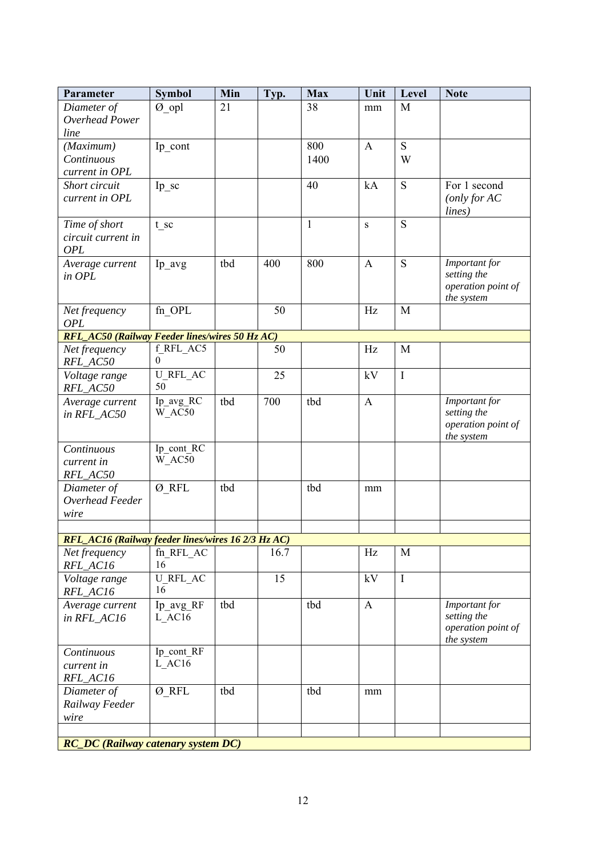| Parameter                                          | <b>Symbol</b>       | Min | Typ. | <b>Max</b>   | Unit         | Level       | <b>Note</b>                      |
|----------------------------------------------------|---------------------|-----|------|--------------|--------------|-------------|----------------------------------|
| Diameter of                                        | Ø opl               | 21  |      | 38           | mm           | M           |                                  |
| Overhead Power                                     |                     |     |      |              |              |             |                                  |
| line                                               |                     |     |      |              |              |             |                                  |
| (Maximum)                                          | Ip_cont             |     |      | 800          | $\mathbf{A}$ | S           |                                  |
| Continuous                                         |                     |     |      | 1400         |              | W           |                                  |
| current in OPL<br>Short circuit                    |                     |     |      | 40           | kA           | ${\bf S}$   | For 1 second                     |
| current in OPL                                     | Ip sc               |     |      |              |              |             | (only for AC)                    |
|                                                    |                     |     |      |              |              |             | lines)                           |
| Time of short                                      | t sc                |     |      | $\mathbf{1}$ | $\mathbf{s}$ | S           |                                  |
| circuit current in                                 |                     |     |      |              |              |             |                                  |
| <b>OPL</b>                                         |                     |     |      |              |              |             |                                  |
| Average current                                    | Ip avg              | tbd | 400  | 800          | $\mathbf{A}$ | S           | Important for                    |
| in OPL                                             |                     |     |      |              |              |             | setting the                      |
|                                                    |                     |     |      |              |              |             | operation point of<br>the system |
| Net frequency                                      | $fn$ <sup>OPL</sup> |     | 50   |              | Hz           | M           |                                  |
| OPL                                                |                     |     |      |              |              |             |                                  |
| RFL_AC50 (Railway Feeder lines/wires 50 Hz AC)     |                     |     |      |              |              |             |                                  |
| Net frequency                                      | f_RFL_AC5           |     | 50   |              | Hz           | M           |                                  |
| RFL_AC50                                           | 0                   |     |      |              |              |             |                                  |
| Voltage range                                      | <b>U RFL AC</b>     |     | 25   |              | kV           | $\mathbf I$ |                                  |
| RFL_AC50                                           | 50                  |     |      |              |              |             |                                  |
| Average current                                    | Ip_avg_RC<br>W AC50 | tbd | 700  | tbd          | $\mathbf{A}$ |             | Important for<br>setting the     |
| in RFL_AC50                                        |                     |     |      |              |              |             | operation point of               |
|                                                    |                     |     |      |              |              |             | the system                       |
| Continuous                                         | Ip cont RC          |     |      |              |              |             |                                  |
| current in                                         | W AC50              |     |      |              |              |             |                                  |
| RFL_AC50                                           |                     |     |      |              |              |             |                                  |
| Diameter of                                        | Ø RFL               | tbd |      | tbd          | mm           |             |                                  |
| Overhead Feeder                                    |                     |     |      |              |              |             |                                  |
| wire                                               |                     |     |      |              |              |             |                                  |
| RFL_AC16 (Railway feeder lines/wires 16 2/3 Hz AC) |                     |     |      |              |              |             |                                  |
| Net frequency                                      | fn RFL AC           |     | 16.7 |              | Hz           | M           |                                  |
| RFL_AC16                                           | 16                  |     |      |              |              |             |                                  |
| Voltage range                                      | <b>U RFL AC</b>     |     | 15   |              | kV           | $\mathbf I$ |                                  |
| RFL_AC16                                           | 16                  |     |      |              |              |             |                                  |
| Average current                                    | Ip avg RF           | tbd |      | tbd          | $\mathbf{A}$ |             | Important for                    |
| in RFL_AC16                                        | L AC16              |     |      |              |              |             | setting the                      |
|                                                    |                     |     |      |              |              |             | operation point of<br>the system |
| Continuous                                         | Ip_cont_RF          |     |      |              |              |             |                                  |
| current in                                         | L AC16              |     |      |              |              |             |                                  |
| RFL_AC16                                           |                     |     |      |              |              |             |                                  |
| Diameter of                                        | Ø RFL               | tbd |      | tbd          | mm           |             |                                  |
| Railway Feeder                                     |                     |     |      |              |              |             |                                  |
| wire                                               |                     |     |      |              |              |             |                                  |
|                                                    |                     |     |      |              |              |             |                                  |
| <b>RC_DC</b> (Railway catenary system DC)          |                     |     |      |              |              |             |                                  |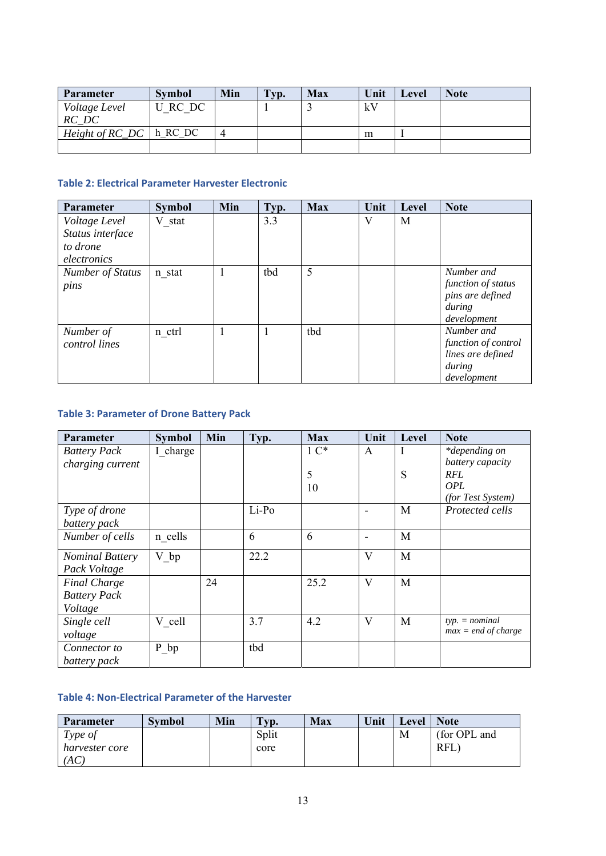| <b>Parameter</b>                       | <b>Symbol</b> | Min | Typ. | <b>Max</b> | Unit | Level | <b>Note</b> |
|----------------------------------------|---------------|-----|------|------------|------|-------|-------------|
| Voltage Level                          | U RC DC       |     |      |            | kV   |       |             |
| RC DC                                  |               |     |      |            |      |       |             |
| <i>Height of RC_DC</i> $\vert$ h_RC_DC |               | 4   |      |            | m    |       |             |
|                                        |               |     |      |            |      |       |             |

#### **Table 2: Electrical Parameter Harvester Electronic**

| <b>Parameter</b> | <b>Symbol</b> | Min | Typ. | <b>Max</b> | Unit | Level | <b>Note</b>           |
|------------------|---------------|-----|------|------------|------|-------|-----------------------|
| Voltage Level    | V stat        |     | 3.3  |            | V    | M     |                       |
| Status interface |               |     |      |            |      |       |                       |
| to drone         |               |     |      |            |      |       |                       |
| electronics      |               |     |      |            |      |       |                       |
| Number of Status | n stat        |     | tbd  | 5          |      |       | Number and            |
| pins             |               |     |      |            |      |       | function of status    |
|                  |               |     |      |            |      |       | pins are defined      |
|                  |               |     |      |            |      |       | during<br>development |
| Number of        | n ctrl        |     |      | tbd        |      |       | Number and            |
| control lines    |               |     |      |            |      |       | function of control   |
|                  |               |     |      |            |      |       | lines are defined     |
|                  |               |     |      |            |      |       | during                |
|                  |               |     |      |            |      |       | development           |

#### **Table 3: Parameter of Drone Battery Pack**

| <b>Parameter</b>       | <b>Symbol</b> | Min | Typ.  | <b>Max</b>          | Unit | Level | <b>Note</b>           |
|------------------------|---------------|-----|-------|---------------------|------|-------|-----------------------|
| <b>Battery Pack</b>    | I charge      |     |       | $1 \, \mathrm{C}^*$ | A    | I     | *depending on         |
| charging current       |               |     |       |                     |      |       | battery capacity      |
|                        |               |     |       | 5                   |      | S     | <b>RFL</b>            |
|                        |               |     |       | 10                  |      |       | OPL                   |
|                        |               |     |       |                     |      |       | (for Test System)     |
| Type of drone          |               |     | Li-Po |                     |      | M     | Protected cells       |
| battery pack           |               |     |       |                     |      |       |                       |
| Number of cells        | n cells       |     | 6     | 6                   |      | M     |                       |
| <b>Nominal Battery</b> | V bp          |     | 22.2  |                     | V    | M     |                       |
| Pack Voltage           |               |     |       |                     |      |       |                       |
| <b>Final Charge</b>    |               | 24  |       | 25.2                | V    | M     |                       |
| <b>Battery Pack</b>    |               |     |       |                     |      |       |                       |
| Voltage                |               |     |       |                     |      |       |                       |
| Single cell            | V cell        |     | 3.7   | 4.2                 | V    | M     | $typ. = nominal$      |
| voltage                |               |     |       |                     |      |       | $max = end of charge$ |
| Connector to           | P bp          |     | tbd   |                     |      |       |                       |
| battery pack           |               |     |       |                     |      |       |                       |

#### **Table 4: Non‐Electrical Parameter of the Harvester**

| Parameter      | <b>Symbol</b> | Min | $T_{VD}$ . | <b>Max</b> | Unit | Level | <b>Note</b>  |
|----------------|---------------|-----|------------|------------|------|-------|--------------|
| Type of        |               |     | Split      |            |      | M     | (for OPL and |
| harvester core |               |     | core       |            |      |       | <b>RFL</b>   |
| (AC            |               |     |            |            |      |       |              |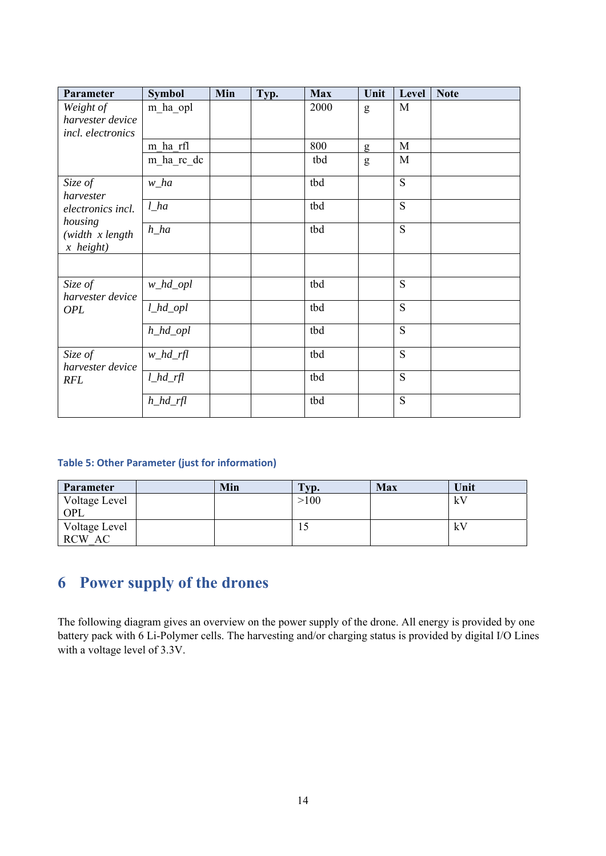| Parameter                             | <b>Symbol</b> | Min | Typ. | <b>Max</b> | Unit | Level | <b>Note</b> |
|---------------------------------------|---------------|-----|------|------------|------|-------|-------------|
| Weight of                             | m ha opl      |     |      | 2000       | g    | M     |             |
| harvester device<br>incl. electronics |               |     |      |            |      |       |             |
|                                       | m ha rfl      |     |      | 800        | g    | M     |             |
|                                       | m ha rc dc    |     |      | tbd        | g    | M     |             |
| Size of<br>harvester                  | $w_ha$        |     |      | tbd        |      | S     |             |
| electronics incl.<br>housing          | $l_$          |     |      | tbd        |      | S     |             |
| $(width \ x length$<br>$x$ height)    | $h\_ha$       |     |      | tbd        |      | S     |             |
|                                       |               |     |      |            |      |       |             |
| Size of<br>harvester device           | $w\_hd\_opl$  |     |      | tbd        |      | S     |             |
| <b>OPL</b>                            | $l\_hd\_opl$  |     |      | tbd        |      | S     |             |
|                                       | $h\_hd\_opl$  |     |      | tbd        |      | S     |             |
| Size of<br>harvester device           | $w_h/d_ff$    |     |      | tbd        |      | S     |             |
| <b>RFL</b>                            | $l\_hd\_rfl$  |     |      | tbd        |      | S     |             |
|                                       | $h\_hd\_rfl$  |     |      | tbd        |      | S     |             |

#### **Table 5: Other Parameter (just for information)**

| <b>Parameter</b>     | Min | Typ. | <b>Max</b> | Unit |
|----------------------|-----|------|------------|------|
| Voltage Level<br>OPL |     | >100 |            | kV   |
| Voltage Level        |     |      |            | kV   |
| RCW AC               |     |      |            |      |

## **6 Power supply of the drones**

The following diagram gives an overview on the power supply of the drone. All energy is provided by one battery pack with 6 Li-Polymer cells. The harvesting and/or charging status is provided by digital I/O Lines with a voltage level of 3.3V.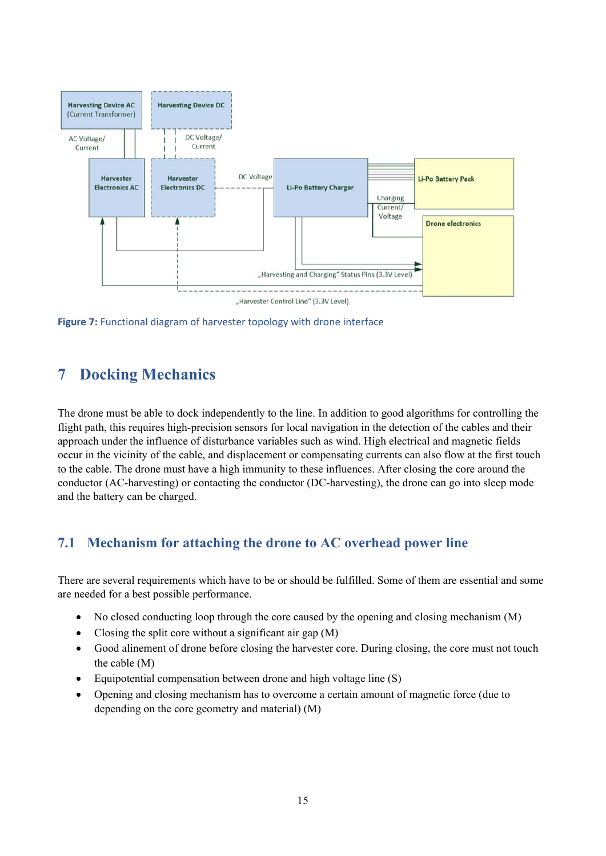

**Figure 7:** Functional diagram of harvester topology with drone interface

## **7 Docking Mechanics**

The drone must be able to dock independently to the line. In addition to good algorithms for controlling the flight path, this requires high-precision sensors for local navigation in the detection of the cables and their approach under the influence of disturbance variables such as wind. High electrical and magnetic fields occur in the vicinity of the cable, and displacement or compensating currents can also flow at the first touch to the cable. The drone must have a high immunity to these influences. After closing the core around the conductor (AC-harvesting) or contacting the conductor (DC-harvesting), the drone can go into sleep mode and the battery can be charged.

#### **7.1 Mechanism for attaching the drone to AC overhead power line**

There are several requirements which have to be or should be fulfilled. Some of them are essential and some are needed for a best possible performance.

- No closed conducting loop through the core caused by the opening and closing mechanism (M)
- Closing the split core without a significant air gap  $(M)$
- Good alinement of drone before closing the harvester core. During closing, the core must not touch the cable (M)
- Equipotential compensation between drone and high voltage line (S)
- Opening and closing mechanism has to overcome a certain amount of magnetic force (due to depending on the core geometry and material) (M)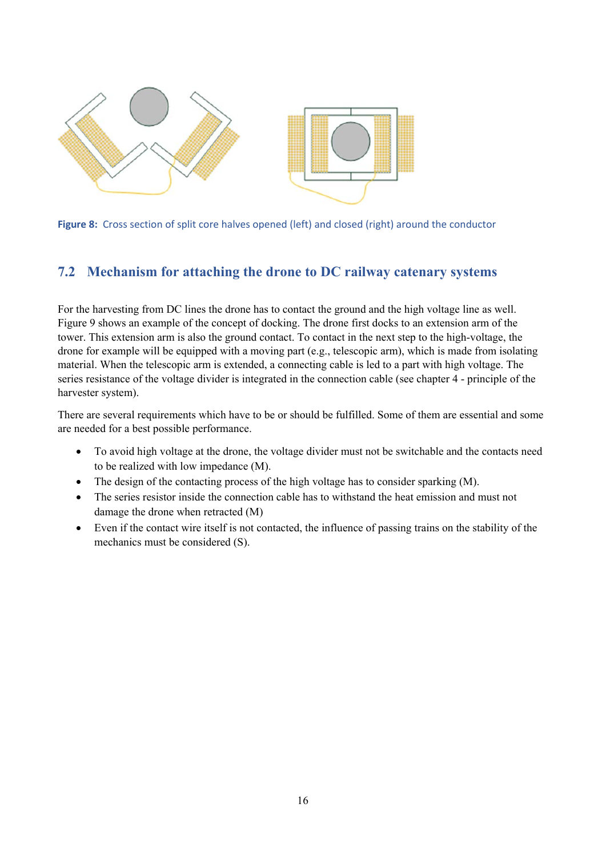

**Figure 8:** Cross section of split core halves opened (left) and closed (right) around the conductor

#### **7.2 Mechanism for attaching the drone to DC railway catenary systems**

For the harvesting from DC lines the drone has to contact the ground and the high voltage line as well. Figure 9 shows an example of the concept of docking. The drone first docks to an extension arm of the tower. This extension arm is also the ground contact. To contact in the next step to the high-voltage, the drone for example will be equipped with a moving part (e.g., telescopic arm), which is made from isolating material. When the telescopic arm is extended, a connecting cable is led to a part with high voltage. The series resistance of the voltage divider is integrated in the connection cable (see chapter 4 - principle of the harvester system).

There are several requirements which have to be or should be fulfilled. Some of them are essential and some are needed for a best possible performance.

- To avoid high voltage at the drone, the voltage divider must not be switchable and the contacts need to be realized with low impedance (M).
- The design of the contacting process of the high voltage has to consider sparking (M).
- The series resistor inside the connection cable has to withstand the heat emission and must not damage the drone when retracted (M)
- Even if the contact wire itself is not contacted, the influence of passing trains on the stability of the mechanics must be considered (S).